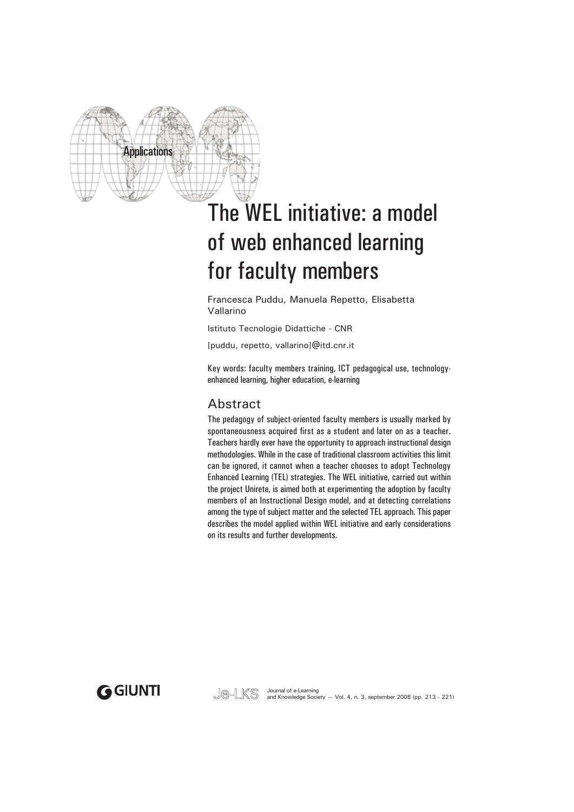

# The WEL initiative: a model of web enhanced learning for faculty members

Francesca Puddu, Manuela Repetto, Elisabetta Vallarino

Istituto Tecnologie Didattiche - CNR

[puddu, repetto, vallarino]@itd.cnr.it

Key words: faculty members training, ICT pedagogical use, technologyenhanced learning, higher education, e-learning

### Abstract

The pedagogy of subject-oriented faculty members is usually marked by spontaneousness acquired first as a student and later on as a teacher. Teachers hardly ever have the opportunity to approach instructional design methodologies. While in the case of traditional classroom activities this limit can be ignored, it cannot when a teacher chooses to adopt Technology Enhanced Learning (TEL) strategies. The WEL initiative, carried out within the project Unirete, is aimed both at experimenting the adoption by faculty members of an Instructional Design model, and at detecting correlations among the type of subject matter and the selected TEL approach. This paper describes the model applied within WEL initiative and early considerations on its results and further developments.

**GGIUNTI** 

Je-LKS Journal of e-Learning<br>Je-LKS and Knowledge Society – Vol. 4, n. 3, september 2008 (pp. 213 - 221)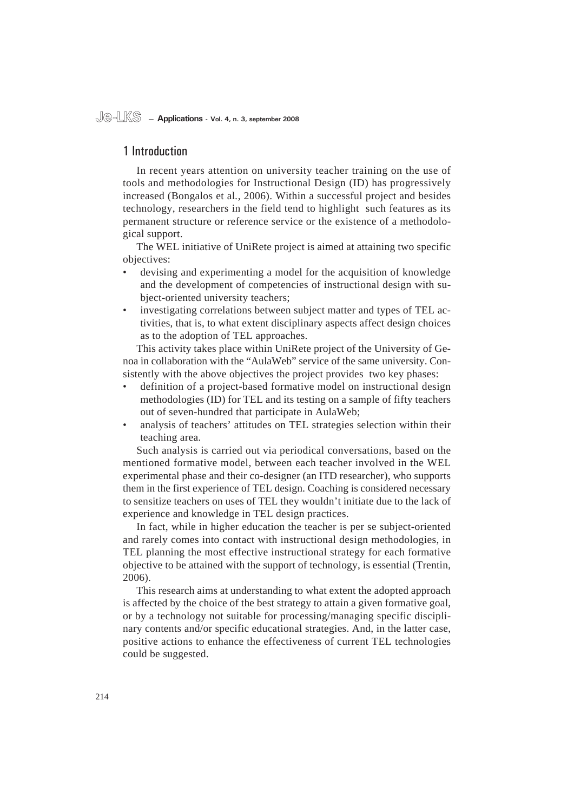#### 1 Introduction

In recent years attention on university teacher training on the use of tools and methodologies for Instructional Design (ID) has progressively increased (Bongalos et al*.*, 2006). Within a successful project and besides technology, researchers in the field tend to highlight such features as its permanent structure or reference service or the existence of a methodological support.

The WEL initiative of UniRete project is aimed at attaining two specific objectives:

- devising and experimenting a model for the acquisition of knowledge and the development of competencies of instructional design with subject-oriented university teachers; •
- investigating correlations between subject matter and types of TEL activities, that is, to what extent disciplinary aspects affect design choices as to the adoption of TEL approaches. •

This activity takes place within UniRete project of the University of Genoa in collaboration with the "AulaWeb" service of the same university. Consistently with the above objectives the project provides two key phases:

- definition of a project-based formative model on instructional design methodologies (ID) for TEL and its testing on a sample of fifty teachers out of seven-hundred that participate in AulaWeb; •
- analysis of teachers' attitudes on TEL strategies selection within their teaching area. •

Such analysis is carried out via periodical conversations, based on the mentioned formative model, between each teacher involved in the WEL experimental phase and their co-designer (an ITD researcher), who supports them in the first experience of TEL design. Coaching is considered necessary to sensitize teachers on uses of TEL they wouldn't initiate due to the lack of experience and knowledge in TEL design practices.

In fact, while in higher education the teacher is per se subject-oriented and rarely comes into contact with instructional design methodologies, in TEL planning the most effective instructional strategy for each formative objective to be attained with the support of technology, is essential (Trentin, 2006).

This research aims at understanding to what extent the adopted approach is affected by the choice of the best strategy to attain a given formative goal, or by a technology not suitable for processing/managing specific disciplinary contents and/or specific educational strategies. And, in the latter case, positive actions to enhance the effectiveness of current TEL technologies could be suggested.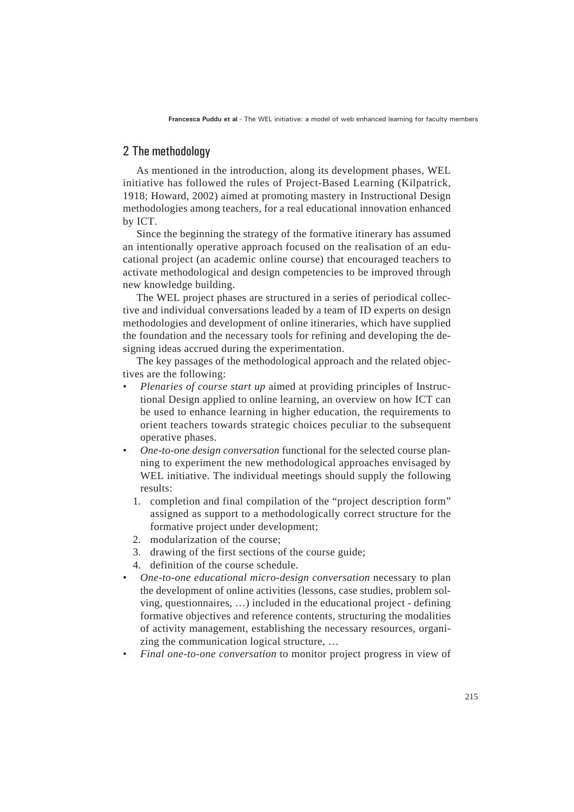**Francesca Puddu et al** - The WEL initiative: a model of web enhanced learning for faculty members

### 2 The methodology

As mentioned in the introduction, along its development phases, WEL initiative has followed the rules of Project-Based Learning (Kilpatrick, 1918; Howard, 2002) aimed at promoting mastery in Instructional Design methodologies among teachers, for a real educational innovation enhanced by ICT.

Since the beginning the strategy of the formative itinerary has assumed an intentionally operative approach focused on the realisation of an educational project (an academic online course) that encouraged teachers to activate methodological and design competencies to be improved through new knowledge building.

The WEL project phases are structured in a series of periodical collective and individual conversations leaded by a team of ID experts on design methodologies and development of online itineraries, which have supplied the foundation and the necessary tools for refining and developing the designing ideas accrued during the experimentation.

The key passages of the methodological approach and the related objectives are the following:

- *Plenaries of course start up* aimed at providing principles of Instructional Design applied to online learning, an overview on how ICT can be used to enhance learning in higher education, the requirements to orient teachers towards strategic choices peculiar to the subsequent operative phases. *•*
- *One-to-one design conversation* functional for the selected course planning to experiment the new methodological approaches envisaged by WEL initiative. The individual meetings should supply the following results: *•*
	- 1. completion and final compilation of the "project description form" assigned as support to a methodologically correct structure for the formative project under development;
	- modularization of the course; 2.
	- drawing of the first sections of the course guide; 3.
	- 4. definition of the course schedule.
- *One-to-one educational micro-design conversation* necessary to plan the development of online activities (lessons, case studies, problem solving, questionnaires, …) included in the educational project - defining formative objectives and reference contents, structuring the modalities of activity management, establishing the necessary resources, organizing the communication logical structure, … *•*
- *Final one-to-one conversation* to monitor project progress in view of *•*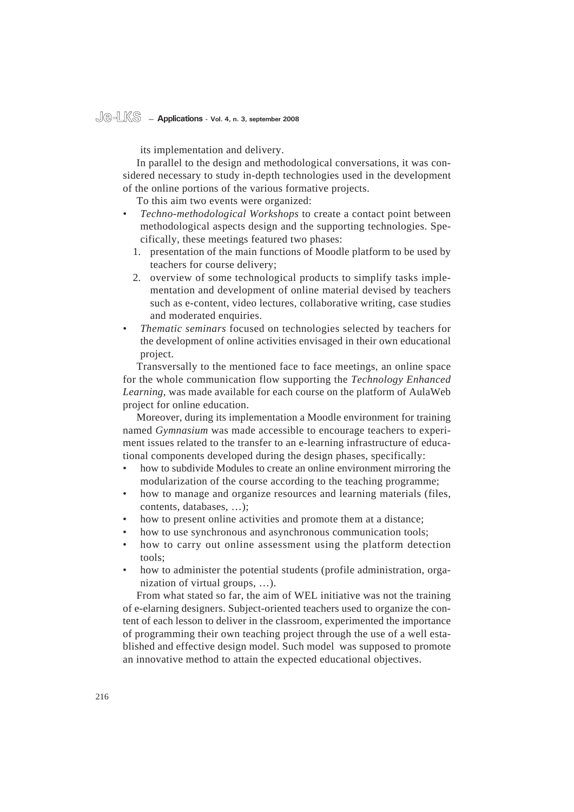## **Je-LKS — Applications - Vol. 4, n. 3, september 2008**

its implementation and delivery.

In parallel to the design and methodological conversations, it was considered necessary to study in-depth technologies used in the development of the online portions of the various formative projects.

To this aim two events were organized:

- *Techno-methodological Workshops* to create a contact point between methodological aspects design and the supporting technologies. Specifically, these meetings featured two phases: *•*
	- 1. presentation of the main functions of Moodle platform to be used by teachers for course delivery;
	- 2. overview of some technological products to simplify tasks implementation and development of online material devised by teachers such as e-content, video lectures, collaborative writing, case studies and moderated enquiries.
- *Thematic seminars* focused on technologies selected by teachers for the development of online activities envisaged in their own educational project. *•*

Transversally to the mentioned face to face meetings, an online space for the whole communication flow supporting the *Technology Enhanced Learning*, was made available for each course on the platform of AulaWeb project for online education.

Moreover, during its implementation a Moodle environment for training named *Gymnasium* was made accessible to encourage teachers to experiment issues related to the transfer to an e-learning infrastructure of educational components developed during the design phases, specifically:

- how to subdivide Modules to create an online environment mirroring the modularization of the course according to the teaching programme; •
- how to manage and organize resources and learning materials (files, contents, databases, …); •
- how to present online activities and promote them at a distance; •
- how to use synchronous and asynchronous communication tools; •
- how to carry out online assessment using the platform detection tools; •
- how to administer the potential students (profile administration, organization of virtual groups, …). •

From what stated so far, the aim of WEL initiative was not the training of e-elarning designers. Subject-oriented teachers used to organize the content of each lesson to deliver in the classroom, experimented the importance of programming their own teaching project through the use of a well established and effective design model. Such model was supposed to promote an innovative method to attain the expected educational objectives.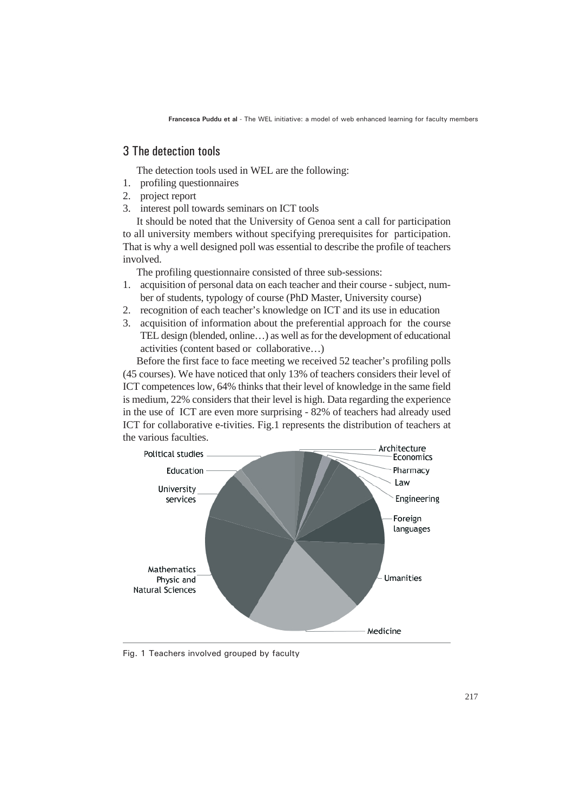**Francesca Puddu et al** - The WEL initiative: a model of web enhanced learning for faculty members

### 3 The detection tools

The detection tools used in WEL are the following:

- profiling questionnaires 1.
- 2. project report
- 3. interest poll towards seminars on ICT tools

It should be noted that the University of Genoa sent a call for participation to all university members without specifying prerequisites for participation. That is why a well designed poll was essential to describe the profile of teachers involved.

The profiling questionnaire consisted of three sub-sessions:

- 1. acquisition of personal data on each teacher and their course subject, number of students, typology of course (PhD Master, University course)
- 2. recognition of each teacher's knowledge on ICT and its use in education
- 3. acquisition of information about the preferential approach for the course TEL design (blended, online…) as well as for the development of educational activities (content based or collaborative…)

Before the first face to face meeting we received 52 teacher's profiling polls (45 courses). We have noticed that only 13% of teachers considers their level of ICT competences low, 64% thinks that their level of knowledge in the same field is medium, 22% considers that their level is high. Data regarding the experience in the use of ICT are even more surprising - 82% of teachers had already used ICT for collaborative e-tivities. Fig.1 represents the distribution of teachers at the various faculties.



Fig. 1 Teachers involved grouped by faculty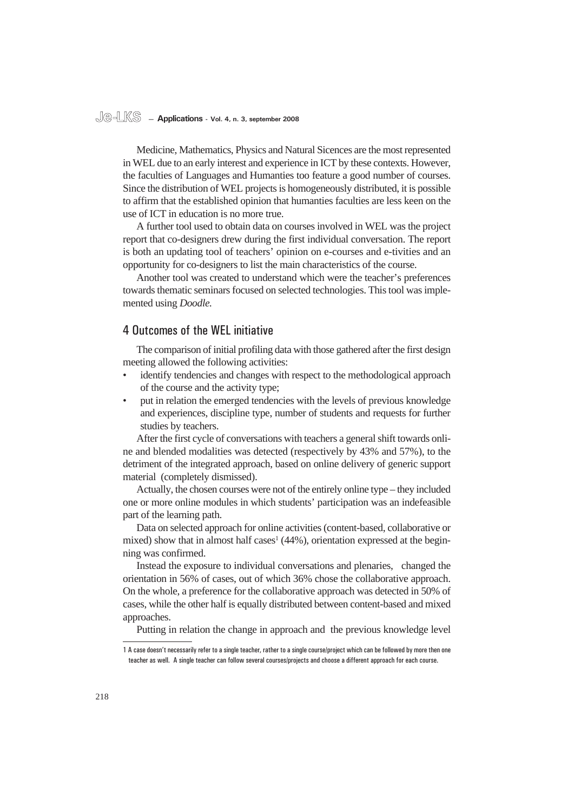## **Je-LKS — Applications - Vol. 4, n. 3, september 2008**

Medicine, Mathematics, Physics and Natural Sicences are the most represented in WEL due to an early interest and experience in ICT by these contexts. However, the faculties of Languages and Humanties too feature a good number of courses. Since the distribution of WEL projects is homogeneously distributed, it is possible to affirm that the established opinion that humanties faculties are less keen on the use of ICT in education is no more true.

A further tool used to obtain data on courses involved in WEL was the project report that co-designers drew during the first individual conversation. The report is both an updating tool of teachers' opinion on e-courses and e-tivities and an opportunity for co-designers to list the main characteristics of the course.

Another tool was created to understand which were the teacher's preferences towards thematic seminars focused on selected technologies. This tool was implemented using *Doodle.*

### 4 Outcomes of the WEL initiative

The comparison of initial profiling data with those gathered after the first design meeting allowed the following activities:

- identify tendencies and changes with respect to the methodological approach of the course and the activity type; •
- put in relation the emerged tendencies with the levels of previous knowledge and experiences, discipline type, number of students and requests for further studies by teachers. •

After the first cycle of conversations with teachers a general shift towards online and blended modalities was detected (respectively by 43% and 57%), to the detriment of the integrated approach, based on online delivery of generic support material (completely dismissed).

Actually, the chosen courses were not of the entirely online type – they included one or more online modules in which students' participation was an indefeasible part of the learning path.

Data on selected approach for online activities (content-based, collaborative or mixed) show that in almost half cases<sup>1</sup> (44%), orientation expressed at the beginning was confirmed.

Instead the exposure to individual conversations and plenaries, changed the orientation in 56% of cases, out of which 36% chose the collaborative approach. On the whole, a preference for the collaborative approach was detected in 50% of cases, while the other half is equally distributed between content-based and mixed approaches.

Putting in relation the change in approach and the previous knowledge level

<sup>1</sup> A case doesn't necessarily refer to a single teacher, rather to a single course/project which can be followed by more then one teacher as well. A single teacher can follow several courses/projects and choose a different approach for each course.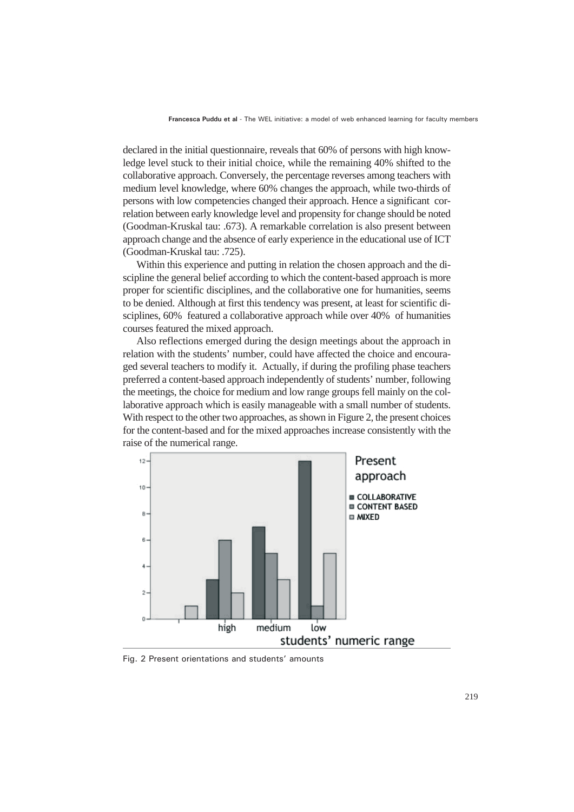declared in the initial questionnaire, reveals that 60% of persons with high knowledge level stuck to their initial choice, while the remaining 40% shifted to the collaborative approach. Conversely, the percentage reverses among teachers with medium level knowledge, where 60% changes the approach, while two-thirds of persons with low competencies changed their approach. Hence a significant correlation between early knowledge level and propensity for change should be noted (Goodman-Kruskal tau: .673). A remarkable correlation is also present between approach change and the absence of early experience in the educational use of ICT (Goodman-Kruskal tau: .725).

Within this experience and putting in relation the chosen approach and the discipline the general belief according to which the content-based approach is more proper for scientific disciplines, and the collaborative one for humanities, seems to be denied. Although at first this tendency was present, at least for scientific disciplines, 60% featured a collaborative approach while over 40% of humanities courses featured the mixed approach.

Also reflections emerged during the design meetings about the approach in relation with the students' number, could have affected the choice and encouraged several teachers to modify it. Actually, if during the profiling phase teachers preferred a content-based approach independently of students' number, following the meetings, the choice for medium and low range groups fell mainly on the collaborative approach which is easily manageable with a small number of students. With respect to the other two approaches, as shown in Figure 2, the present choices for the content-based and for the mixed approaches increase consistently with the raise of the numerical range.



Fig. 2 Present orientations and students' amounts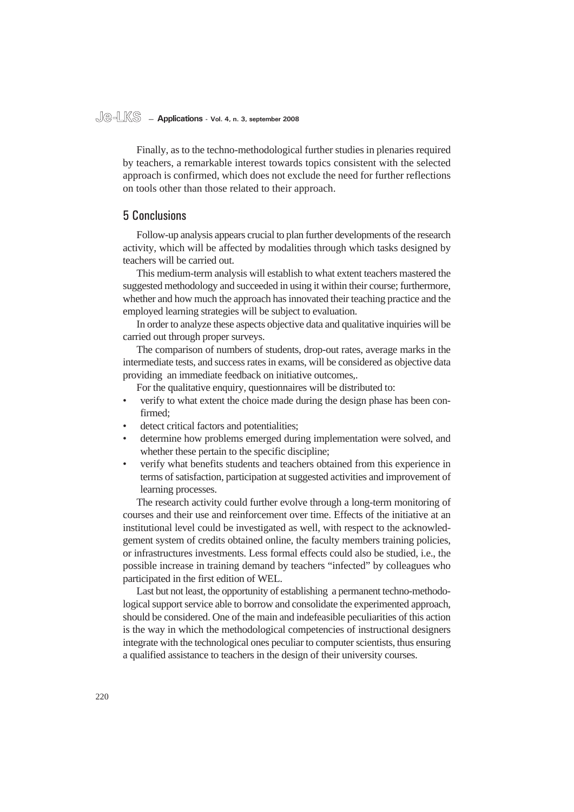#### **Je-LKS — Applications - Vol. 4, n. 3, september 2008**

Finally, as to the techno-methodological further studies in plenaries required by teachers, a remarkable interest towards topics consistent with the selected approach is confirmed, which does not exclude the need for further reflections on tools other than those related to their approach.

### 5 Conclusions

Follow-up analysis appears crucial to plan further developments of the research activity, which will be affected by modalities through which tasks designed by teachers will be carried out.

This medium-term analysis will establish to what extent teachers mastered the suggested methodology and succeeded in using it within their course; furthermore, whether and how much the approach has innovated their teaching practice and the employed learning strategies will be subject to evaluation.

In order to analyze these aspects objective data and qualitative inquiries will be carried out through proper surveys.

The comparison of numbers of students, drop-out rates, average marks in the intermediate tests, and success rates in exams, will be considered as objective data providing an immediate feedback on initiative outcomes,.

For the qualitative enquiry, questionnaires will be distributed to:

- verify to what extent the choice made during the design phase has been confirmed; •
- detect critical factors and potentialities; •
- determine how problems emerged during implementation were solved, and whether these pertain to the specific discipline; •
- verify what benefits students and teachers obtained from this experience in terms of satisfaction, participation at suggested activities and improvement of learning processes. •

The research activity could further evolve through a long-term monitoring of courses and their use and reinforcement over time. Effects of the initiative at an institutional level could be investigated as well, with respect to the acknowledgement system of credits obtained online, the faculty members training policies, or infrastructures investments. Less formal effects could also be studied, i.e., the possible increase in training demand by teachers "infected" by colleagues who participated in the first edition of WEL.

Last but not least, the opportunity of establishing a permanent techno-methodological support service able to borrow and consolidate the experimented approach, should be considered. One of the main and indefeasible peculiarities of this action is the way in which the methodological competencies of instructional designers integrate with the technological ones peculiar to computer scientists, thus ensuring a qualified assistance to teachers in the design of their university courses.